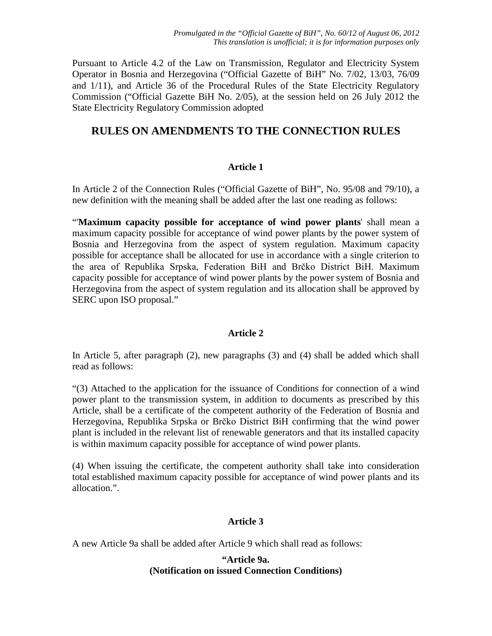Pursuant to Article 4.2 of the Law on Transmission, Regulator and Electricity System Operator in Bosnia and Herzegovina ("Official Gazette of BiH" No. 7/02, 13/03, 76/09 and 1/11), and Article 36 of the Procedural Rules of the State Electricity Regulatory Commission ("Official Gazette BiH No. 2/05), at the session held on 26 July 2012 the State Electricity Regulatory Commission adopted

# **RULES ON AMENDMENTS TO THE CONNECTION RULES**

### **Article 1**

In Article 2 of the Connection Rules ("Official Gazette of BiH", No. 95/08 and 79/10), a new definition with the meaning shall be added after the last one reading as follows:

"'**Maximum capacity possible for acceptance of wind power plants**' shall mean a maximum capacity possible for acceptance of wind power plants by the power system of Bosnia and Herzegovina from the aspect of system regulation. Maximum capacity possible for acceptance shall be allocated for use in accordance with a single criterion to the area of Republika Srpska, Federation BiH and Brčko District BiH. Maximum capacity possible for acceptance of wind power plants by the power system of Bosnia and Herzegovina from the aspect of system regulation and its allocation shall be approved by SERC upon ISO proposal."

#### **Article 2**

In Article 5, after paragraph (2), new paragraphs (3) and (4) shall be added which shall read as follows:

"(3) Attached to the application for the issuance of Conditions for connection of a wind power plant to the transmission system, in addition to documents as prescribed by this Article, shall be a certificate of the competent authority of the Federation of Bosnia and Herzegovina, Republika Srpska or Brčko District BiH confirming that the wind power plant is included in the relevant list of renewable generators and that its installed capacity is within maximum capacity possible for acceptance of wind power plants.

(4) When issuing the certificate, the competent authority shall take into consideration total established maximum capacity possible for acceptance of wind power plants and its allocation.".

# **Article 3**

A new Article 9a shall be added after Article 9 which shall read as follows:

### **"Article 9a. (Notification on issued Connection Conditions)**